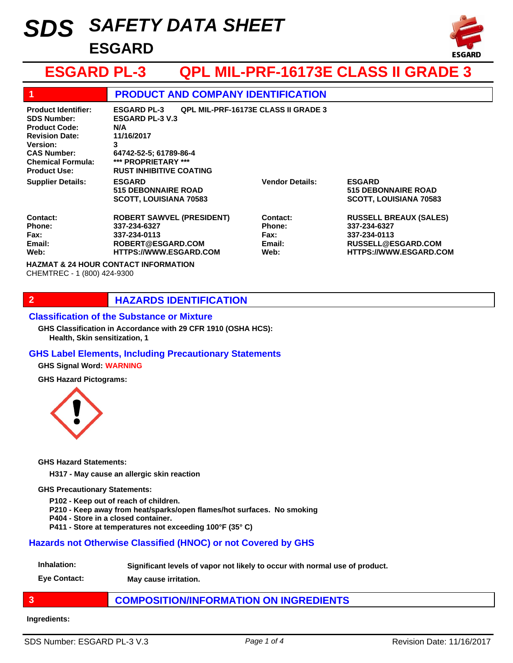# *SAFETY DATA SHEET SDS* **ESGARD**



# **ESGARD PL-3 QPL MIL-PRF-16173E CLASS II GRADE 3**

| 1                                                                                                                                                                                             | <b>PRODUCT AND COMPANY IDENTIFICATION</b>                                                                                                                                                               |                                              |                                                                                                                      |
|-----------------------------------------------------------------------------------------------------------------------------------------------------------------------------------------------|---------------------------------------------------------------------------------------------------------------------------------------------------------------------------------------------------------|----------------------------------------------|----------------------------------------------------------------------------------------------------------------------|
| <b>Product Identifier:</b><br><b>SDS Number:</b><br><b>Product Code:</b><br><b>Revision Date:</b><br><b>Version:</b><br><b>CAS Number:</b><br><b>Chemical Formula:</b><br><b>Product Use:</b> | <b>QPL MIL-PRF-16173E CLASS II GRADE 3</b><br><b>ESGARD PL-3</b><br><b>ESGARD PL-3 V.3</b><br>N/A<br>11/16/2017<br>3<br>64742-52-5; 61789-86-4<br>*** PROPRIETARY ***<br><b>RUST INHIBITIVE COATING</b> |                                              |                                                                                                                      |
| <b>Supplier Details:</b>                                                                                                                                                                      | <b>ESGARD</b><br><b>515 DEBONNAIRE ROAD</b><br><b>SCOTT, LOUISIANA 70583</b>                                                                                                                            | <b>Vendor Details:</b>                       | <b>ESGARD</b><br><b>515 DEBONNAIRE ROAD</b><br><b>SCOTT, LOUISIANA 70583</b>                                         |
| Contact:<br>Phone:<br>Fax:<br>Email:<br>Web:                                                                                                                                                  | <b>ROBERT SAWVEL (PRESIDENT)</b><br>337-234-6327<br>337-234-0113<br>ROBERT@ESGARD.COM<br><b>HTTPS://WWW.ESGARD.COM</b>                                                                                  | Contact:<br>Phone:<br>Fax:<br>Email:<br>Web: | <b>RUSSELL BREAUX (SALES)</b><br>337-234-6327<br>337-234-0113<br>RUSSELL@ESGARD.COM<br><b>HTTPS://WWW.ESGARD.COM</b> |
| <b>HAZMAT &amp; 24 HOUR CONTACT INFORMATION</b><br>CHEMTREC - 1 (800) 424-9300                                                                                                                |                                                                                                                                                                                                         |                                              |                                                                                                                      |

## **2 HAZARDS IDENTIFICATION**

#### **Classification of the Substance or Mixture**

**Health, Skin sensitization, 1 GHS Classification in Accordance with 29 CFR 1910 (OSHA HCS):**

## **GHS Label Elements, Including Precautionary Statements**

**GHS Signal Word: WARNING**

**GHS Hazard Pictograms:**



**GHS Hazard Statements:**

**H317 - May cause an allergic skin reaction**

**GHS Precautionary Statements:**

**P102 - Keep out of reach of children.**

**P210 - Keep away from heat/sparks/open flames/hot surfaces. No smoking**

- **P404 Store in a closed container.**
- **P411 Store at temperatures not exceeding 100°F (35° C)**

## **Hazards not Otherwise Classified (HNOC) or not Covered by GHS**

**Inhalation: Significant levels of vapor not likely to occur with normal use of product.**

**Eye Contact: May cause irritation.**

## **3 COMPOSITION/INFORMATION ON INGREDIENTS**

#### **Ingredients:**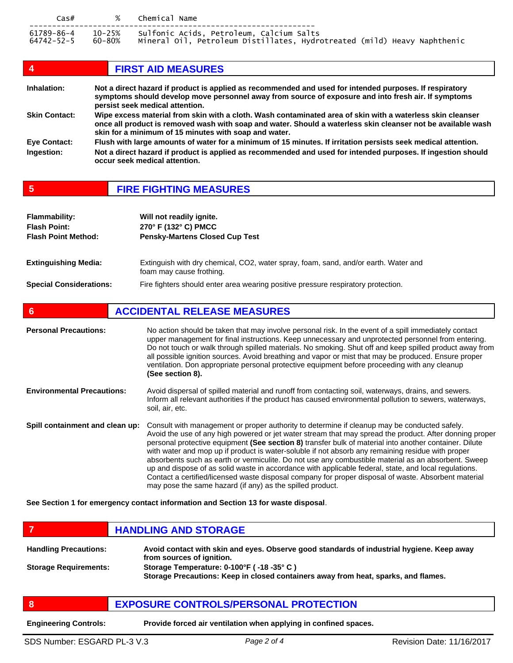| $\textsf{Cas}\#$         | $\%$   | Chemical Name                                                                                                               |
|--------------------------|--------|-----------------------------------------------------------------------------------------------------------------------------|
| 61789-86-4<br>64742-52-5 | 60-80% | 10-25% Sulfonic Acids, Petroleum, Calcium Salts<br>Mineral Oil, Petroleum Distillates, Hydrotreated (mild) Heavy Naphthenic |

| $\boldsymbol{4}$     | <b>FIRST AID MEASURES</b>                                                                                                                                                                                                                                                           |
|----------------------|-------------------------------------------------------------------------------------------------------------------------------------------------------------------------------------------------------------------------------------------------------------------------------------|
| Inhalation:          | Not a direct hazard if product is applied as recommended and used for intended purposes. If respiratory<br>symptoms should develop move personnel away from source of exposure and into fresh air. If symptoms<br>persist seek medical attention.                                   |
| <b>Skin Contact:</b> | Wipe excess material from skin with a cloth. Wash contaminated area of skin with a waterless skin cleanser<br>once all product is removed wash with soap and water. Should a waterless skin cleanser not be available wash<br>skin for a minimum of 15 minutes with soap and water. |
| Eye Contact:         | Flush with large amounts of water for a minimum of 15 minutes. If irritation persists seek medical attention.                                                                                                                                                                       |
| Ingestion:           | Not a direct hazard if product is applied as recommended and used for intended purposes. If ingestion should<br>occur seek medical attention.                                                                                                                                       |

## **5 FIRE FIGHTING MEASURES**

| <b>Flammability:</b><br><b>Flash Point:</b><br><b>Flash Point Method:</b> | Will not readily ignite.<br>270° F (132° C) PMCC<br><b>Pensky-Martens Closed Cup Test</b>                       |
|---------------------------------------------------------------------------|-----------------------------------------------------------------------------------------------------------------|
| <b>Extinguishing Media:</b>                                               | Extinguish with dry chemical, CO2, water spray, foam, sand, and/or earth. Water and<br>foam may cause frothing. |
| <b>Special Considerations:</b>                                            | Fire fighters should enter area wearing positive pressure respiratory protection.                               |

## **6 ACCIDENTAL RELEASE MEASURES**

| <b>Personal Precautions:</b>      | No action should be taken that may involve personal risk. In the event of a spill immediately contact<br>upper management for final instructions. Keep unnecessary and unprotected personnel from entering.<br>Do not touch or walk through spilled materials. No smoking. Shut off and keep spilled product away from<br>all possible ignition sources. Avoid breathing and vapor or mist that may be produced. Ensure proper<br>ventilation. Don appropriate personal protective equipment before proceeding with any cleanup<br>(See section 8).                                                                                                                                                                                                                                                         |
|-----------------------------------|-------------------------------------------------------------------------------------------------------------------------------------------------------------------------------------------------------------------------------------------------------------------------------------------------------------------------------------------------------------------------------------------------------------------------------------------------------------------------------------------------------------------------------------------------------------------------------------------------------------------------------------------------------------------------------------------------------------------------------------------------------------------------------------------------------------|
| <b>Environmental Precautions:</b> | Avoid dispersal of spilled material and runoff from contacting soil, waterways, drains, and sewers.<br>Inform all relevant authorities if the product has caused environmental pollution to sewers, waterways,<br>soil, air, etc.                                                                                                                                                                                                                                                                                                                                                                                                                                                                                                                                                                           |
| Spill containment and clean up:   | Consult with management or proper authority to determine if cleanup may be conducted safely.<br>Avoid the use of any high powered or jet water stream that may spread the product. After donning proper<br>personal protective equipment (See section 8) transfer bulk of material into another container. Dilute<br>with water and mop up if product is water-soluble if not absorb any remaining residue with proper<br>absorbents such as earth or vermiculite. Do not use any combustible material as an absorbent. Sweep<br>up and dispose of as solid waste in accordance with applicable federal, state, and local regulations.<br>Contact a certified/licensed waste disposal company for proper disposal of waste. Absorbent material<br>may pose the same hazard (if any) as the spilled product. |

**See Section 1 for emergency contact information and Section 13 for waste disposal**.

|                              | <b>HANDLING AND STORAGE</b>                                                                                            |
|------------------------------|------------------------------------------------------------------------------------------------------------------------|
| <b>Handling Precautions:</b> | Avoid contact with skin and eyes. Observe good standards of industrial hygiene. Keep away<br>from sources of ignition. |
| <b>Storage Requirements:</b> | Storage Temperature: 0-100°F (-18 -35°C)                                                                               |

**Storage Precautions: Keep in closed containers away from heat, sparks, and flames.**

## **8 EXPOSURE CONTROLS/PERSONAL PROTECTION**

**Engineering Controls: Provide forced air ventilation when applying in confined spaces.**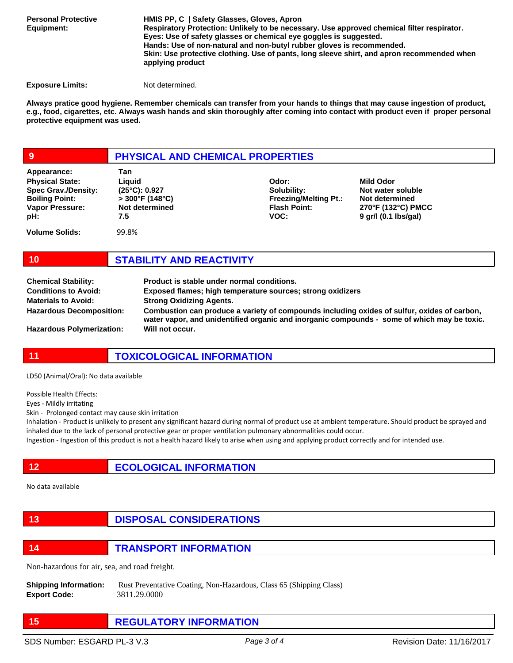**Personal Protective Equipment:**

**HMIS PP, C | Safety Glasses, Gloves, Apron Respiratory Protection: Unlikely to be necessary. Use approved chemical filter respirator. Eyes: Use of safety glasses or chemical eye goggles is suggested. Hands: Use of non-natural and non-butyl rubber gloves is recommended. Skin: Use protective clothing. Use of pants, long sleeve shirt, and apron recommended when applying product** 

**Exposure Limits:** Not determined.

**Always pratice good hygiene. Remember chemicals can transfer from your hands to things that may cause ingestion of product, e.g., food, cigarettes, etc. Always wash hands and skin thoroughly after coming into contact with product even if proper personal protective equipment was used.** 

## **9 PHYSICAL AND CHEMICAL PROPERTIES**

| Appearance:                                                                                             | Tan                                                                            |                                                                                     |
|---------------------------------------------------------------------------------------------------------|--------------------------------------------------------------------------------|-------------------------------------------------------------------------------------|
| <b>Physical State:</b><br><b>Spec Grav./Density:</b><br><b>Boiling Point:</b><br>Vapor Pressure:<br>pH: | Liauid<br>$(25^{\circ}C): 0.927$<br>$>$ 300°F (148°C)<br>Not determined<br>7.5 | Odor:<br>Solubility:<br><b>Freezing/Melting Pt.:</b><br><b>Flash Point:</b><br>VOC: |
| <b>Volume Solids:</b>                                                                                   | 99.8%                                                                          |                                                                                     |

**Not water soluble Not determined 270°F (132°C) PMCC 9 gr/l (0.1 lbs/gal)**

**Mild Odor**

## **10 STABILITY AND REACTIVITY**

| <b>Chemical Stability:</b>       | Product is stable under normal conditions.                                                                                                                                                 |
|----------------------------------|--------------------------------------------------------------------------------------------------------------------------------------------------------------------------------------------|
| <b>Conditions to Avoid:</b>      | Exposed flames; high temperature sources; strong oxidizers                                                                                                                                 |
| <b>Materials to Avoid:</b>       | <b>Strong Oxidizing Agents.</b>                                                                                                                                                            |
| <b>Hazardous Decomposition:</b>  | Combustion can produce a variety of compounds including oxides of sulfur, oxides of carbon,<br>water vapor, and unidentified organic and inorganic compounds - some of which may be toxic. |
| <b>Hazardous Polymerization:</b> | Will not occur.                                                                                                                                                                            |

## **11 TOXICOLOGICAL INFORMATION**

LD50 (Animal/Oral): No data available

Possible Health Effects:

Eyes - Mildly irritating

Skin - Prolonged contact may cause skin irritation

Inhalation - Product is unlikely to present any significant hazard during normal of product use at ambient temperature. Should product be sprayed and inhaled due to the lack of personal protective gear or proper ventilation pulmonary abnormalities could occur.

Ingestion - Ingestion of this product is not a health hazard likely to arise when using and applying product correctly and for intended use.

**12 ECOLOGICAL INFORMATION** 

No data available

## **13 DISPOSAL CONSIDERATIONS**

**14 TRANSPORT INFORMATION**

Non-hazardous for air, sea, and road freight.

**Shipping Information:** Rust Preventative Coating, Non-Hazardous, Class 65 (Shipping Class) **Export Code:** 3811.29.0000

**15 REGULATORY INFORMATION**